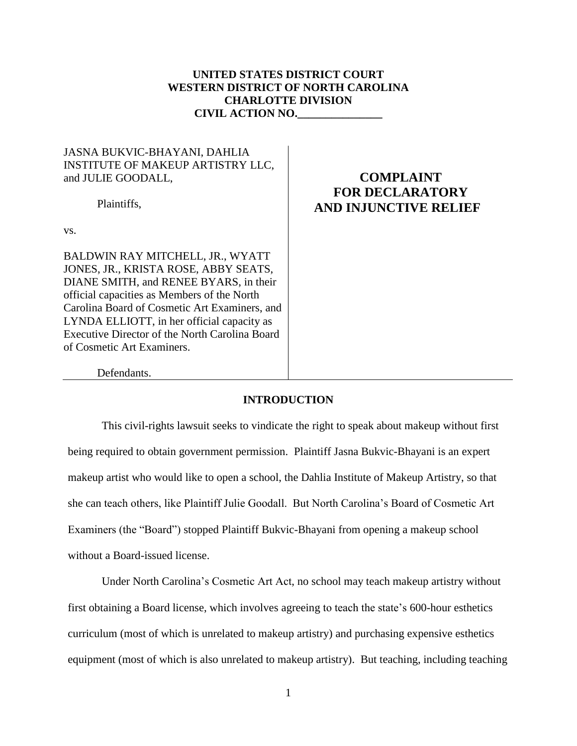# **UNITED STATES DISTRICT COURT WESTERN DISTRICT OF NORTH CAROLINA CHARLOTTE DIVISION CIVIL ACTION NO.\_\_\_\_\_\_\_\_\_\_\_\_\_\_\_**

## JASNA BUKVIC-BHAYANI, DAHLIA INSTITUTE OF MAKEUP ARTISTRY LLC, and JULIE GOODALL,

Plaintiffs,

vs.

BALDWIN RAY MITCHELL, JR., WYATT JONES, JR., KRISTA ROSE, ABBY SEATS, DIANE SMITH, and RENEE BYARS, in their official capacities as Members of the North Carolina Board of Cosmetic Art Examiners, and LYNDA ELLIOTT, in her official capacity as Executive Director of the North Carolina Board of Cosmetic Art Examiners.

# **COMPLAINT FOR DECLARATORY AND INJUNCTIVE RELIEF**

Defendants.

## **INTRODUCTION**

This civil-rights lawsuit seeks to vindicate the right to speak about makeup without first being required to obtain government permission. Plaintiff Jasna Bukvic-Bhayani is an expert makeup artist who would like to open a school, the Dahlia Institute of Makeup Artistry, so that she can teach others, like Plaintiff Julie Goodall. But North Carolina's Board of Cosmetic Art Examiners (the "Board") stopped Plaintiff Bukvic-Bhayani from opening a makeup school without a Board-issued license.

Under North Carolina's Cosmetic Art Act, no school may teach makeup artistry without first obtaining a Board license, which involves agreeing to teach the state's 600-hour esthetics curriculum (most of which is unrelated to makeup artistry) and purchasing expensive esthetics equipment (most of which is also unrelated to makeup artistry). But teaching, including teaching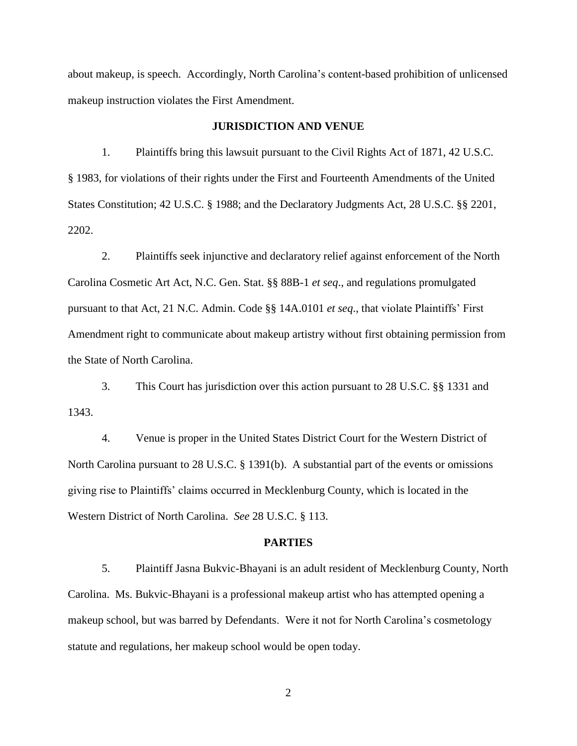about makeup, is speech. Accordingly, North Carolina's content-based prohibition of unlicensed makeup instruction violates the First Amendment.

#### **JURISDICTION AND VENUE**

1. Plaintiffs bring this lawsuit pursuant to the Civil Rights Act of 1871, 42 U.S.C. § 1983, for violations of their rights under the First and Fourteenth Amendments of the United States Constitution; 42 U.S.C. § 1988; and the Declaratory Judgments Act, 28 U.S.C. §§ 2201, 2202.

2. Plaintiffs seek injunctive and declaratory relief against enforcement of the North Carolina Cosmetic Art Act, N.C. Gen. Stat. §§ 88B-1 *et seq*., and regulations promulgated pursuant to that Act, 21 N.C. Admin. Code §§ 14A.0101 *et seq*., that violate Plaintiffs' First Amendment right to communicate about makeup artistry without first obtaining permission from the State of North Carolina.

3. This Court has jurisdiction over this action pursuant to 28 U.S.C. §§ 1331 and 1343.

4. Venue is proper in the United States District Court for the Western District of North Carolina pursuant to 28 U.S.C. § 1391(b). A substantial part of the events or omissions giving rise to Plaintiffs' claims occurred in Mecklenburg County, which is located in the Western District of North Carolina. *See* 28 U.S.C. § 113.

#### **PARTIES**

5. Plaintiff Jasna Bukvic-Bhayani is an adult resident of Mecklenburg County, North Carolina. Ms. Bukvic-Bhayani is a professional makeup artist who has attempted opening a makeup school, but was barred by Defendants. Were it not for North Carolina's cosmetology statute and regulations, her makeup school would be open today.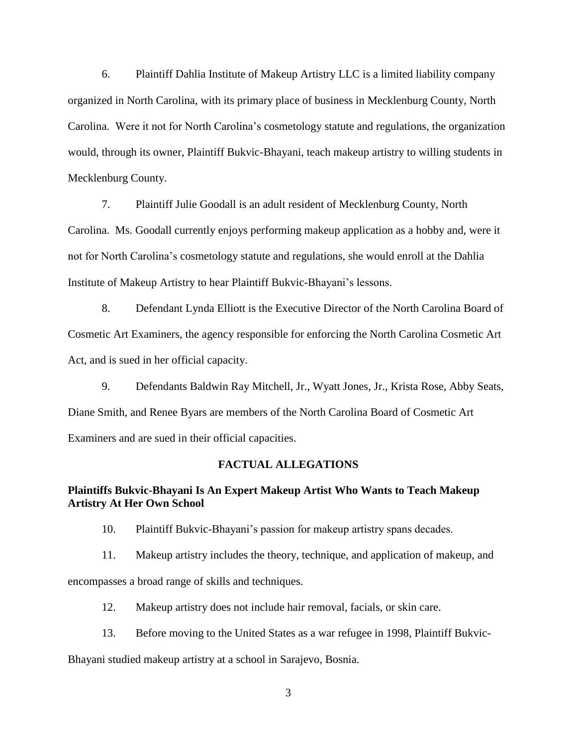6. Plaintiff Dahlia Institute of Makeup Artistry LLC is a limited liability company organized in North Carolina, with its primary place of business in Mecklenburg County, North Carolina. Were it not for North Carolina's cosmetology statute and regulations, the organization would, through its owner, Plaintiff Bukvic-Bhayani, teach makeup artistry to willing students in Mecklenburg County.

7. Plaintiff Julie Goodall is an adult resident of Mecklenburg County, North Carolina. Ms. Goodall currently enjoys performing makeup application as a hobby and, were it not for North Carolina's cosmetology statute and regulations, she would enroll at the Dahlia Institute of Makeup Artistry to hear Plaintiff Bukvic-Bhayani's lessons.

8. Defendant Lynda Elliott is the Executive Director of the North Carolina Board of Cosmetic Art Examiners, the agency responsible for enforcing the North Carolina Cosmetic Art Act, and is sued in her official capacity.

9. Defendants Baldwin Ray Mitchell, Jr., Wyatt Jones, Jr., Krista Rose, Abby Seats, Diane Smith, and Renee Byars are members of the North Carolina Board of Cosmetic Art Examiners and are sued in their official capacities.

#### **FACTUAL ALLEGATIONS**

### **Plaintiffs Bukvic-Bhayani Is An Expert Makeup Artist Who Wants to Teach Makeup Artistry At Her Own School**

10. Plaintiff Bukvic-Bhayani's passion for makeup artistry spans decades.

11. Makeup artistry includes the theory, technique, and application of makeup, and

encompasses a broad range of skills and techniques.

12. Makeup artistry does not include hair removal, facials, or skin care.

13. Before moving to the United States as a war refugee in 1998, Plaintiff Bukvic-

Bhayani studied makeup artistry at a school in Sarajevo, Bosnia.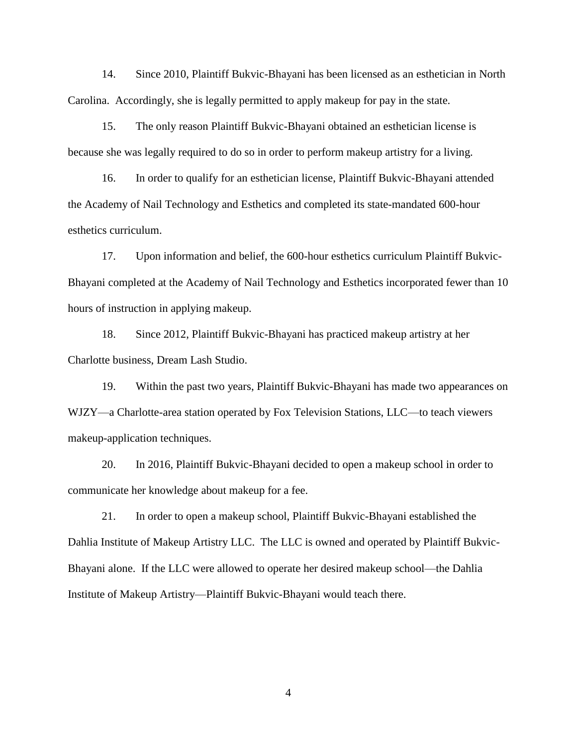14. Since 2010, Plaintiff Bukvic-Bhayani has been licensed as an esthetician in North Carolina. Accordingly, she is legally permitted to apply makeup for pay in the state.

15. The only reason Plaintiff Bukvic-Bhayani obtained an esthetician license is because she was legally required to do so in order to perform makeup artistry for a living.

16. In order to qualify for an esthetician license, Plaintiff Bukvic-Bhayani attended the Academy of Nail Technology and Esthetics and completed its state-mandated 600-hour esthetics curriculum.

17. Upon information and belief, the 600-hour esthetics curriculum Plaintiff Bukvic-Bhayani completed at the Academy of Nail Technology and Esthetics incorporated fewer than 10 hours of instruction in applying makeup.

18. Since 2012, Plaintiff Bukvic-Bhayani has practiced makeup artistry at her Charlotte business, Dream Lash Studio.

19. Within the past two years, Plaintiff Bukvic-Bhayani has made two appearances on WJZY—a Charlotte-area station operated by Fox Television Stations, LLC—to teach viewers makeup-application techniques.

20. In 2016, Plaintiff Bukvic-Bhayani decided to open a makeup school in order to communicate her knowledge about makeup for a fee.

21. In order to open a makeup school, Plaintiff Bukvic-Bhayani established the Dahlia Institute of Makeup Artistry LLC. The LLC is owned and operated by Plaintiff Bukvic-Bhayani alone. If the LLC were allowed to operate her desired makeup school—the Dahlia Institute of Makeup Artistry—Plaintiff Bukvic-Bhayani would teach there.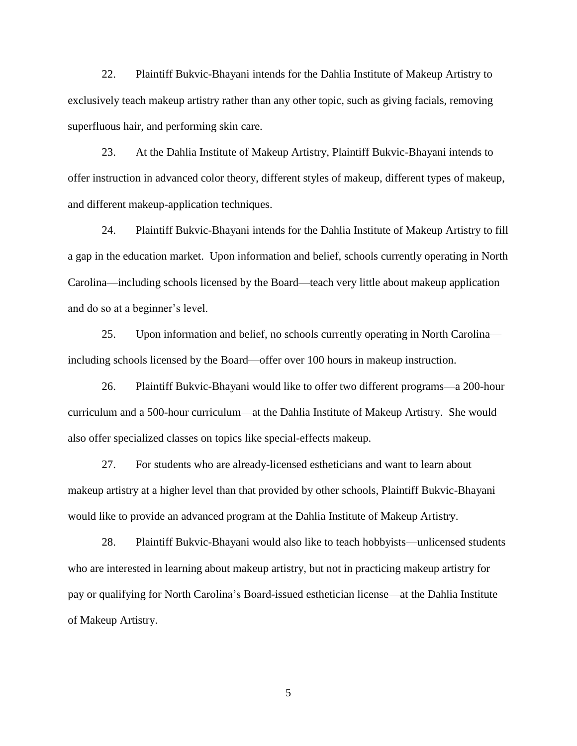22. Plaintiff Bukvic-Bhayani intends for the Dahlia Institute of Makeup Artistry to exclusively teach makeup artistry rather than any other topic, such as giving facials, removing superfluous hair, and performing skin care.

23. At the Dahlia Institute of Makeup Artistry, Plaintiff Bukvic-Bhayani intends to offer instruction in advanced color theory, different styles of makeup, different types of makeup, and different makeup-application techniques.

24. Plaintiff Bukvic-Bhayani intends for the Dahlia Institute of Makeup Artistry to fill a gap in the education market. Upon information and belief, schools currently operating in North Carolina—including schools licensed by the Board—teach very little about makeup application and do so at a beginner's level.

25. Upon information and belief, no schools currently operating in North Carolina including schools licensed by the Board—offer over 100 hours in makeup instruction.

26. Plaintiff Bukvic-Bhayani would like to offer two different programs—a 200-hour curriculum and a 500-hour curriculum—at the Dahlia Institute of Makeup Artistry. She would also offer specialized classes on topics like special-effects makeup.

27. For students who are already-licensed estheticians and want to learn about makeup artistry at a higher level than that provided by other schools, Plaintiff Bukvic-Bhayani would like to provide an advanced program at the Dahlia Institute of Makeup Artistry.

28. Plaintiff Bukvic-Bhayani would also like to teach hobbyists—unlicensed students who are interested in learning about makeup artistry, but not in practicing makeup artistry for pay or qualifying for North Carolina's Board-issued esthetician license—at the Dahlia Institute of Makeup Artistry.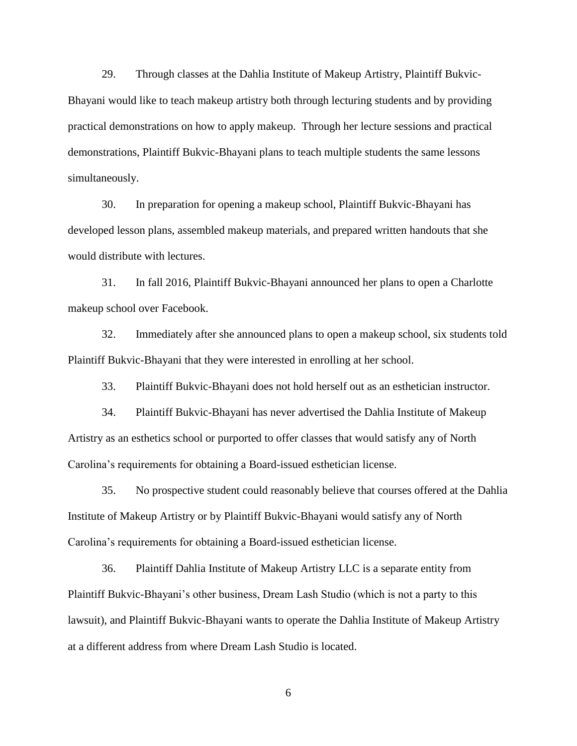29. Through classes at the Dahlia Institute of Makeup Artistry, Plaintiff Bukvic-Bhayani would like to teach makeup artistry both through lecturing students and by providing practical demonstrations on how to apply makeup. Through her lecture sessions and practical demonstrations, Plaintiff Bukvic-Bhayani plans to teach multiple students the same lessons simultaneously.

30. In preparation for opening a makeup school, Plaintiff Bukvic-Bhayani has developed lesson plans, assembled makeup materials, and prepared written handouts that she would distribute with lectures.

31. In fall 2016, Plaintiff Bukvic-Bhayani announced her plans to open a Charlotte makeup school over Facebook.

32. Immediately after she announced plans to open a makeup school, six students told Plaintiff Bukvic-Bhayani that they were interested in enrolling at her school.

33. Plaintiff Bukvic-Bhayani does not hold herself out as an esthetician instructor.

34. Plaintiff Bukvic-Bhayani has never advertised the Dahlia Institute of Makeup Artistry as an esthetics school or purported to offer classes that would satisfy any of North Carolina's requirements for obtaining a Board-issued esthetician license.

35. No prospective student could reasonably believe that courses offered at the Dahlia Institute of Makeup Artistry or by Plaintiff Bukvic-Bhayani would satisfy any of North Carolina's requirements for obtaining a Board-issued esthetician license.

36. Plaintiff Dahlia Institute of Makeup Artistry LLC is a separate entity from Plaintiff Bukvic-Bhayani's other business, Dream Lash Studio (which is not a party to this lawsuit), and Plaintiff Bukvic-Bhayani wants to operate the Dahlia Institute of Makeup Artistry at a different address from where Dream Lash Studio is located.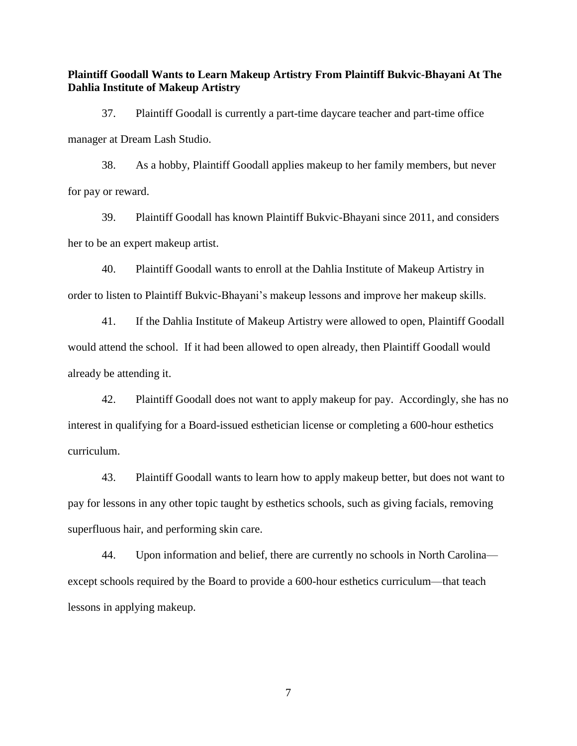**Plaintiff Goodall Wants to Learn Makeup Artistry From Plaintiff Bukvic-Bhayani At The Dahlia Institute of Makeup Artistry**

37. Plaintiff Goodall is currently a part-time daycare teacher and part-time office manager at Dream Lash Studio.

38. As a hobby, Plaintiff Goodall applies makeup to her family members, but never for pay or reward.

39. Plaintiff Goodall has known Plaintiff Bukvic-Bhayani since 2011, and considers her to be an expert makeup artist.

40. Plaintiff Goodall wants to enroll at the Dahlia Institute of Makeup Artistry in order to listen to Plaintiff Bukvic-Bhayani's makeup lessons and improve her makeup skills.

41. If the Dahlia Institute of Makeup Artistry were allowed to open, Plaintiff Goodall would attend the school. If it had been allowed to open already, then Plaintiff Goodall would already be attending it.

42. Plaintiff Goodall does not want to apply makeup for pay. Accordingly, she has no interest in qualifying for a Board-issued esthetician license or completing a 600-hour esthetics curriculum.

43. Plaintiff Goodall wants to learn how to apply makeup better, but does not want to pay for lessons in any other topic taught by esthetics schools, such as giving facials, removing superfluous hair, and performing skin care.

44. Upon information and belief, there are currently no schools in North Carolina except schools required by the Board to provide a 600-hour esthetics curriculum—that teach lessons in applying makeup.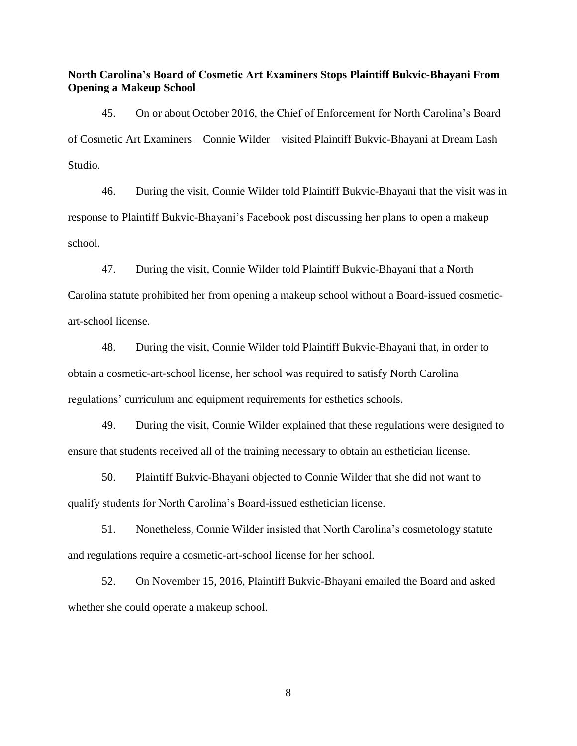**North Carolina's Board of Cosmetic Art Examiners Stops Plaintiff Bukvic-Bhayani From Opening a Makeup School**

45. On or about October 2016, the Chief of Enforcement for North Carolina's Board of Cosmetic Art Examiners—Connie Wilder—visited Plaintiff Bukvic-Bhayani at Dream Lash Studio.

46. During the visit, Connie Wilder told Plaintiff Bukvic-Bhayani that the visit was in response to Plaintiff Bukvic-Bhayani's Facebook post discussing her plans to open a makeup school.

47. During the visit, Connie Wilder told Plaintiff Bukvic-Bhayani that a North Carolina statute prohibited her from opening a makeup school without a Board-issued cosmeticart-school license.

48. During the visit, Connie Wilder told Plaintiff Bukvic-Bhayani that, in order to obtain a cosmetic-art-school license, her school was required to satisfy North Carolina regulations' curriculum and equipment requirements for esthetics schools.

49. During the visit, Connie Wilder explained that these regulations were designed to ensure that students received all of the training necessary to obtain an esthetician license.

50. Plaintiff Bukvic-Bhayani objected to Connie Wilder that she did not want to qualify students for North Carolina's Board-issued esthetician license.

51. Nonetheless, Connie Wilder insisted that North Carolina's cosmetology statute and regulations require a cosmetic-art-school license for her school.

52. On November 15, 2016, Plaintiff Bukvic-Bhayani emailed the Board and asked whether she could operate a makeup school.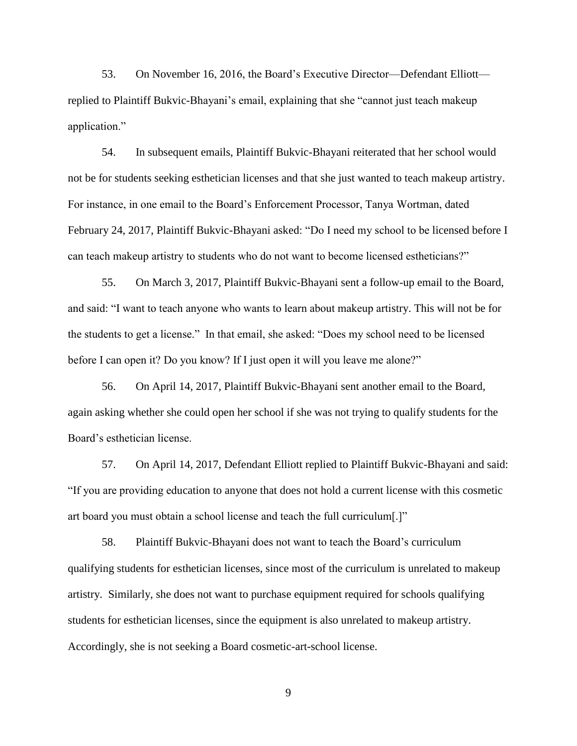53. On November 16, 2016, the Board's Executive Director—Defendant Elliott replied to Plaintiff Bukvic-Bhayani's email, explaining that she "cannot just teach makeup application."

54. In subsequent emails, Plaintiff Bukvic-Bhayani reiterated that her school would not be for students seeking esthetician licenses and that she just wanted to teach makeup artistry. For instance, in one email to the Board's Enforcement Processor, Tanya Wortman, dated February 24, 2017, Plaintiff Bukvic-Bhayani asked: "Do I need my school to be licensed before I can teach makeup artistry to students who do not want to become licensed estheticians?"

55. On March 3, 2017, Plaintiff Bukvic-Bhayani sent a follow-up email to the Board, and said: "I want to teach anyone who wants to learn about makeup artistry. This will not be for the students to get a license." In that email, she asked: "Does my school need to be licensed before I can open it? Do you know? If I just open it will you leave me alone?"

56. On April 14, 2017, Plaintiff Bukvic-Bhayani sent another email to the Board, again asking whether she could open her school if she was not trying to qualify students for the Board's esthetician license.

57. On April 14, 2017, Defendant Elliott replied to Plaintiff Bukvic-Bhayani and said: "If you are providing education to anyone that does not hold a current license with this cosmetic art board you must obtain a school license and teach the full curriculum[.]"

58. Plaintiff Bukvic-Bhayani does not want to teach the Board's curriculum qualifying students for esthetician licenses, since most of the curriculum is unrelated to makeup artistry. Similarly, she does not want to purchase equipment required for schools qualifying students for esthetician licenses, since the equipment is also unrelated to makeup artistry. Accordingly, she is not seeking a Board cosmetic-art-school license.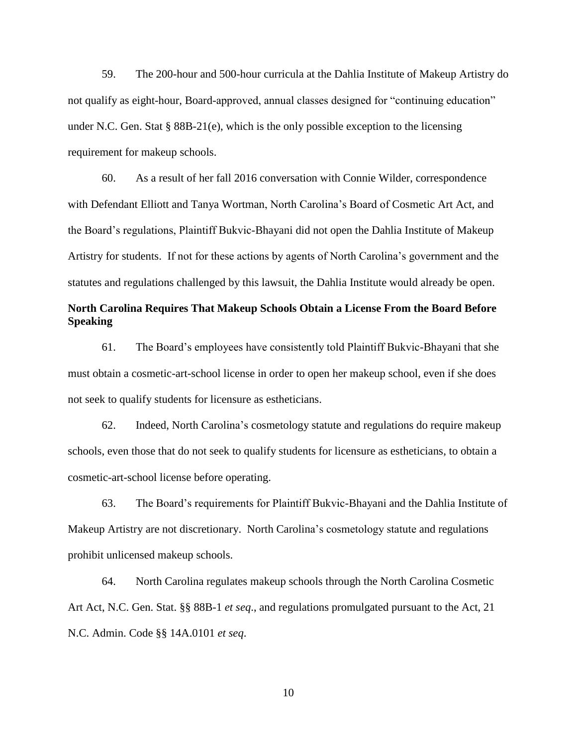59. The 200-hour and 500-hour curricula at the Dahlia Institute of Makeup Artistry do not qualify as eight-hour, Board-approved, annual classes designed for "continuing education" under N.C. Gen. Stat §  $88B-21(e)$ , which is the only possible exception to the licensing requirement for makeup schools.

60. As a result of her fall 2016 conversation with Connie Wilder, correspondence with Defendant Elliott and Tanya Wortman, North Carolina's Board of Cosmetic Art Act, and the Board's regulations, Plaintiff Bukvic-Bhayani did not open the Dahlia Institute of Makeup Artistry for students. If not for these actions by agents of North Carolina's government and the statutes and regulations challenged by this lawsuit, the Dahlia Institute would already be open.

# **North Carolina Requires That Makeup Schools Obtain a License From the Board Before Speaking**

61. The Board's employees have consistently told Plaintiff Bukvic-Bhayani that she must obtain a cosmetic-art-school license in order to open her makeup school, even if she does not seek to qualify students for licensure as estheticians.

62. Indeed, North Carolina's cosmetology statute and regulations do require makeup schools, even those that do not seek to qualify students for licensure as estheticians, to obtain a cosmetic-art-school license before operating.

63. The Board's requirements for Plaintiff Bukvic-Bhayani and the Dahlia Institute of Makeup Artistry are not discretionary. North Carolina's cosmetology statute and regulations prohibit unlicensed makeup schools.

64. North Carolina regulates makeup schools through the North Carolina Cosmetic Art Act, N.C. Gen. Stat. §§ 88B-1 *et seq*., and regulations promulgated pursuant to the Act, 21 N.C. Admin. Code §§ 14A.0101 *et seq*.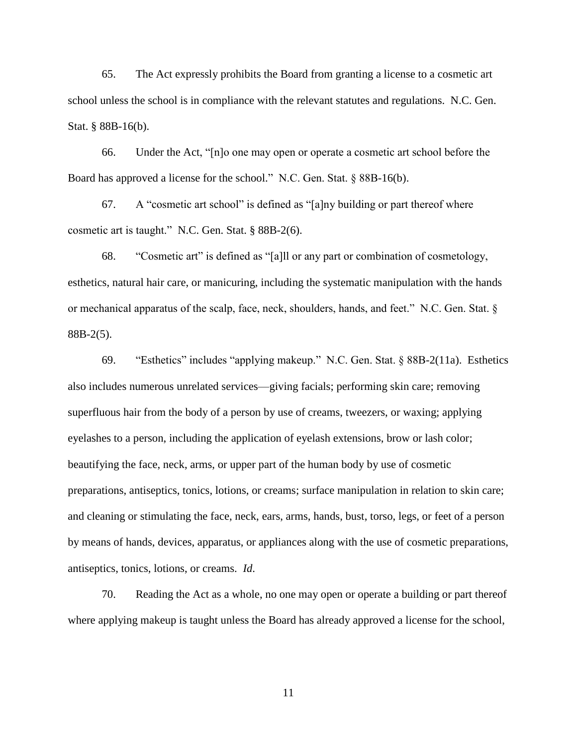65. The Act expressly prohibits the Board from granting a license to a cosmetic art school unless the school is in compliance with the relevant statutes and regulations. N.C. Gen. Stat. § 88B-16(b).

66. Under the Act, "[n]o one may open or operate a cosmetic art school before the Board has approved a license for the school." N.C. Gen. Stat. § 88B-16(b).

67. A "cosmetic art school" is defined as "[a]ny building or part thereof where cosmetic art is taught." N.C. Gen. Stat. § 88B-2(6).

68. "Cosmetic art" is defined as "[a]ll or any part or combination of cosmetology, esthetics, natural hair care, or manicuring, including the systematic manipulation with the hands or mechanical apparatus of the scalp, face, neck, shoulders, hands, and feet." N.C. Gen. Stat. § 88B-2(5).

69. "Esthetics" includes "applying makeup." N.C. Gen. Stat. § 88B-2(11a). Esthetics also includes numerous unrelated services—giving facials; performing skin care; removing superfluous hair from the body of a person by use of creams, tweezers, or waxing; applying eyelashes to a person, including the application of eyelash extensions, brow or lash color; beautifying the face, neck, arms, or upper part of the human body by use of cosmetic preparations, antiseptics, tonics, lotions, or creams; surface manipulation in relation to skin care; and cleaning or stimulating the face, neck, ears, arms, hands, bust, torso, legs, or feet of a person by means of hands, devices, apparatus, or appliances along with the use of cosmetic preparations, antiseptics, tonics, lotions, or creams. *Id*.

70. Reading the Act as a whole, no one may open or operate a building or part thereof where applying makeup is taught unless the Board has already approved a license for the school,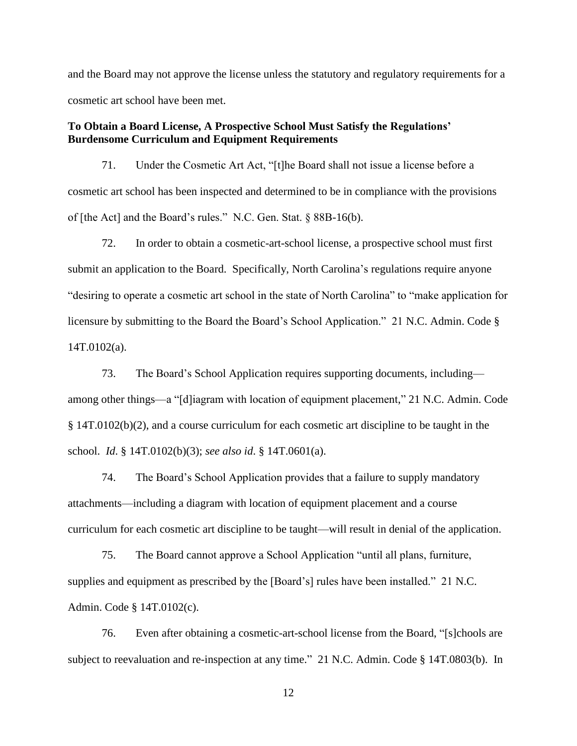and the Board may not approve the license unless the statutory and regulatory requirements for a cosmetic art school have been met.

## **To Obtain a Board License, A Prospective School Must Satisfy the Regulations' Burdensome Curriculum and Equipment Requirements**

71. Under the Cosmetic Art Act, "[t]he Board shall not issue a license before a cosmetic art school has been inspected and determined to be in compliance with the provisions of [the Act] and the Board's rules." N.C. Gen. Stat. § 88B-16(b).

72. In order to obtain a cosmetic-art-school license, a prospective school must first submit an application to the Board. Specifically, North Carolina's regulations require anyone "desiring to operate a cosmetic art school in the state of North Carolina" to "make application for licensure by submitting to the Board the Board's School Application." 21 N.C. Admin. Code § 14T.0102(a).

73. The Board's School Application requires supporting documents, including among other things—a "[d]iagram with location of equipment placement," 21 N.C. Admin. Code § 14T.0102(b)(2), and a course curriculum for each cosmetic art discipline to be taught in the school. *Id*. § 14T.0102(b)(3); *see also id*. § 14T.0601(a).

74. The Board's School Application provides that a failure to supply mandatory attachments—including a diagram with location of equipment placement and a course curriculum for each cosmetic art discipline to be taught—will result in denial of the application.

75. The Board cannot approve a School Application "until all plans, furniture, supplies and equipment as prescribed by the [Board's] rules have been installed." 21 N.C. Admin. Code § 14T.0102(c).

76. Even after obtaining a cosmetic-art-school license from the Board, "[s]chools are subject to reevaluation and re-inspection at any time." 21 N.C. Admin. Code § 14T.0803(b). In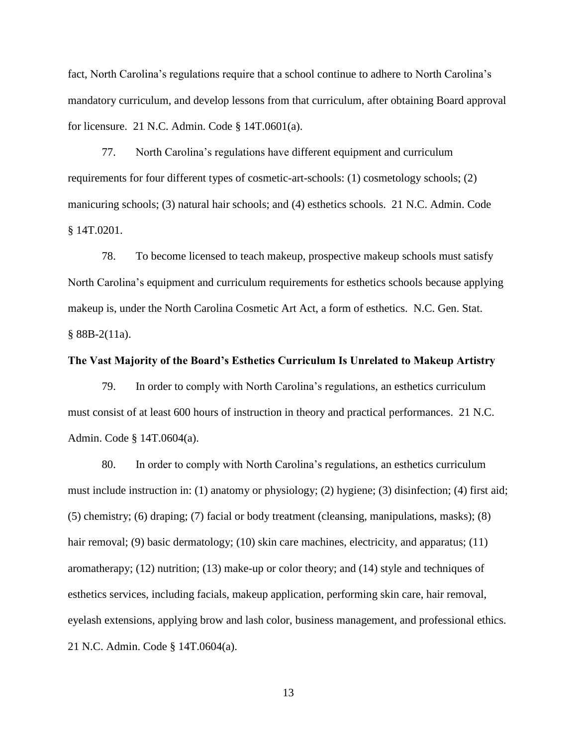fact, North Carolina's regulations require that a school continue to adhere to North Carolina's mandatory curriculum, and develop lessons from that curriculum, after obtaining Board approval for licensure. 21 N.C. Admin. Code § 14T.0601(a).

77. North Carolina's regulations have different equipment and curriculum requirements for four different types of cosmetic-art-schools: (1) cosmetology schools; (2) manicuring schools; (3) natural hair schools; and (4) esthetics schools. 21 N.C. Admin. Code § 14T.0201.

78. To become licensed to teach makeup, prospective makeup schools must satisfy North Carolina's equipment and curriculum requirements for esthetics schools because applying makeup is, under the North Carolina Cosmetic Art Act, a form of esthetics. N.C. Gen. Stat.  $§$  88B-2(11a).

### **The Vast Majority of the Board's Esthetics Curriculum Is Unrelated to Makeup Artistry**

79. In order to comply with North Carolina's regulations, an esthetics curriculum must consist of at least 600 hours of instruction in theory and practical performances. 21 N.C. Admin. Code § 14T.0604(a).

80. In order to comply with North Carolina's regulations, an esthetics curriculum must include instruction in: (1) anatomy or physiology; (2) hygiene; (3) disinfection; (4) first aid; (5) chemistry; (6) draping; (7) facial or body treatment (cleansing, manipulations, masks); (8) hair removal; (9) basic dermatology; (10) skin care machines, electricity, and apparatus; (11) aromatherapy; (12) nutrition; (13) make-up or color theory; and (14) style and techniques of esthetics services, including facials, makeup application, performing skin care, hair removal, eyelash extensions, applying brow and lash color, business management, and professional ethics. 21 N.C. Admin. Code § 14T.0604(a).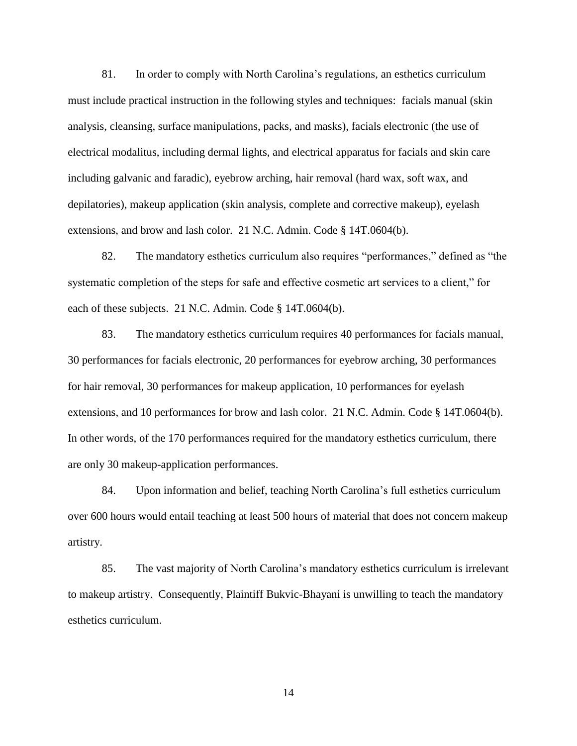81. In order to comply with North Carolina's regulations, an esthetics curriculum must include practical instruction in the following styles and techniques: facials manual (skin analysis, cleansing, surface manipulations, packs, and masks), facials electronic (the use of electrical modalitus, including dermal lights, and electrical apparatus for facials and skin care including galvanic and faradic), eyebrow arching, hair removal (hard wax, soft wax, and depilatories), makeup application (skin analysis, complete and corrective makeup), eyelash extensions, and brow and lash color. 21 N.C. Admin. Code § 14T.0604(b).

82. The mandatory esthetics curriculum also requires "performances," defined as "the systematic completion of the steps for safe and effective cosmetic art services to a client," for each of these subjects. 21 N.C. Admin. Code § 14T.0604(b).

83. The mandatory esthetics curriculum requires 40 performances for facials manual, 30 performances for facials electronic, 20 performances for eyebrow arching, 30 performances for hair removal, 30 performances for makeup application, 10 performances for eyelash extensions, and 10 performances for brow and lash color. 21 N.C. Admin. Code § 14T.0604(b). In other words, of the 170 performances required for the mandatory esthetics curriculum, there are only 30 makeup-application performances.

84. Upon information and belief, teaching North Carolina's full esthetics curriculum over 600 hours would entail teaching at least 500 hours of material that does not concern makeup artistry.

85. The vast majority of North Carolina's mandatory esthetics curriculum is irrelevant to makeup artistry. Consequently, Plaintiff Bukvic-Bhayani is unwilling to teach the mandatory esthetics curriculum.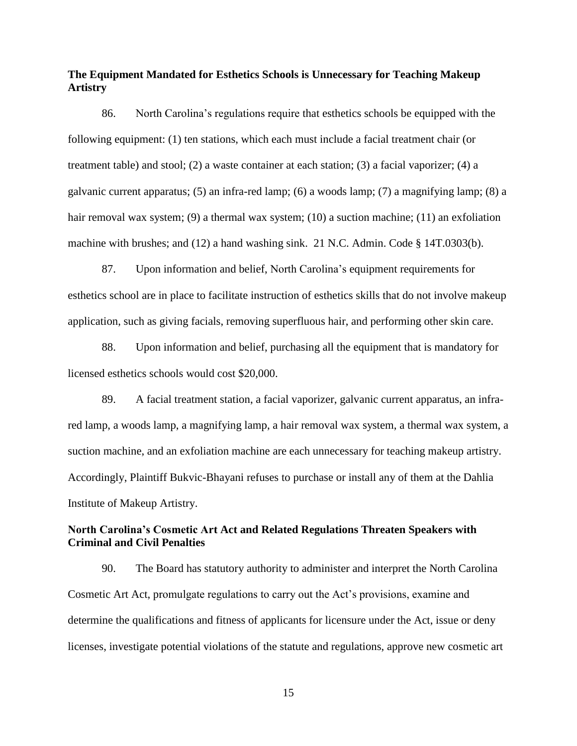## **The Equipment Mandated for Esthetics Schools is Unnecessary for Teaching Makeup Artistry**

86. North Carolina's regulations require that esthetics schools be equipped with the following equipment: (1) ten stations, which each must include a facial treatment chair (or treatment table) and stool; (2) a waste container at each station; (3) a facial vaporizer; (4) a galvanic current apparatus; (5) an infra-red lamp; (6) a woods lamp; (7) a magnifying lamp; (8) a hair removal wax system; (9) a thermal wax system; (10) a suction machine; (11) an exfoliation machine with brushes; and (12) a hand washing sink. 21 N.C. Admin. Code § 14T.0303(b).

87. Upon information and belief, North Carolina's equipment requirements for esthetics school are in place to facilitate instruction of esthetics skills that do not involve makeup application, such as giving facials, removing superfluous hair, and performing other skin care.

88. Upon information and belief, purchasing all the equipment that is mandatory for licensed esthetics schools would cost \$20,000.

89. A facial treatment station, a facial vaporizer, galvanic current apparatus, an infrared lamp, a woods lamp, a magnifying lamp, a hair removal wax system, a thermal wax system, a suction machine, and an exfoliation machine are each unnecessary for teaching makeup artistry. Accordingly, Plaintiff Bukvic-Bhayani refuses to purchase or install any of them at the Dahlia Institute of Makeup Artistry.

### **North Carolina's Cosmetic Art Act and Related Regulations Threaten Speakers with Criminal and Civil Penalties**

90. The Board has statutory authority to administer and interpret the North Carolina Cosmetic Art Act, promulgate regulations to carry out the Act's provisions, examine and determine the qualifications and fitness of applicants for licensure under the Act, issue or deny licenses, investigate potential violations of the statute and regulations, approve new cosmetic art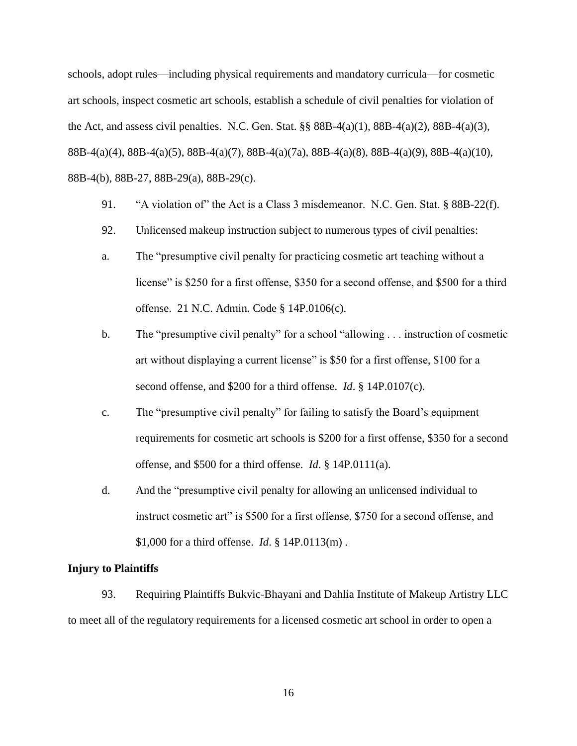schools, adopt rules—including physical requirements and mandatory curricula—for cosmetic art schools, inspect cosmetic art schools, establish a schedule of civil penalties for violation of the Act, and assess civil penalties. N.C. Gen. Stat.  $\S$ § 88B-4(a)(1), 88B-4(a)(2), 88B-4(a)(3), 88B-4(a)(4), 88B-4(a)(5), 88B-4(a)(7), 88B-4(a)(7a), 88B-4(a)(8), 88B-4(a)(9), 88B-4(a)(10), 88B-4(b), 88B-27, 88B-29(a), 88B-29(c).

- 91. "A violation of" the Act is a Class 3 misdemeanor. N.C. Gen. Stat. § 88B-22(f).
- 92. Unlicensed makeup instruction subject to numerous types of civil penalties:
- a. The "presumptive civil penalty for practicing cosmetic art teaching without a license" is \$250 for a first offense, \$350 for a second offense, and \$500 for a third offense. 21 N.C. Admin. Code § 14P.0106(c).
- b. The "presumptive civil penalty" for a school "allowing . . . instruction of cosmetic art without displaying a current license" is \$50 for a first offense, \$100 for a second offense, and \$200 for a third offense. *Id*. § 14P.0107(c).
- c. The "presumptive civil penalty" for failing to satisfy the Board's equipment requirements for cosmetic art schools is \$200 for a first offense, \$350 for a second offense, and \$500 for a third offense. *Id*. § 14P.0111(a).
- d. And the "presumptive civil penalty for allowing an unlicensed individual to instruct cosmetic art" is \$500 for a first offense, \$750 for a second offense, and \$1,000 for a third offense. *Id*. § 14P.0113(m) .

### **Injury to Plaintiffs**

93. Requiring Plaintiffs Bukvic-Bhayani and Dahlia Institute of Makeup Artistry LLC to meet all of the regulatory requirements for a licensed cosmetic art school in order to open a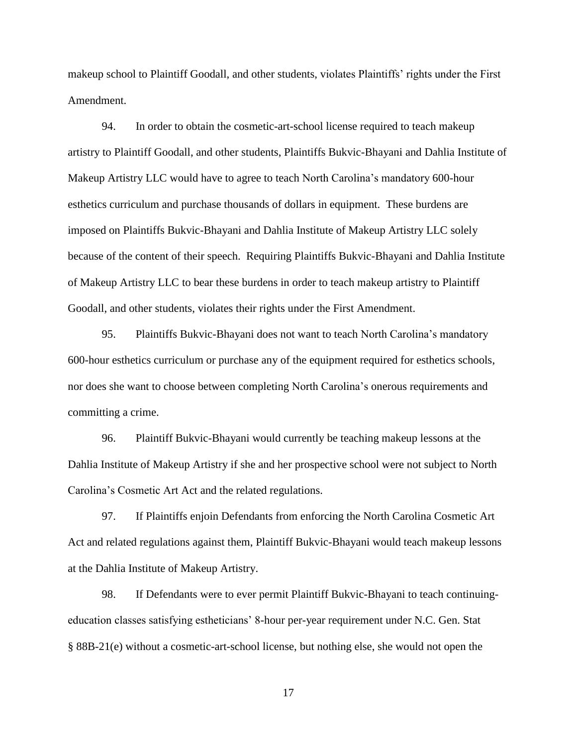makeup school to Plaintiff Goodall, and other students, violates Plaintiffs' rights under the First Amendment.

94. In order to obtain the cosmetic-art-school license required to teach makeup artistry to Plaintiff Goodall, and other students, Plaintiffs Bukvic-Bhayani and Dahlia Institute of Makeup Artistry LLC would have to agree to teach North Carolina's mandatory 600-hour esthetics curriculum and purchase thousands of dollars in equipment. These burdens are imposed on Plaintiffs Bukvic-Bhayani and Dahlia Institute of Makeup Artistry LLC solely because of the content of their speech. Requiring Plaintiffs Bukvic-Bhayani and Dahlia Institute of Makeup Artistry LLC to bear these burdens in order to teach makeup artistry to Plaintiff Goodall, and other students, violates their rights under the First Amendment.

95. Plaintiffs Bukvic-Bhayani does not want to teach North Carolina's mandatory 600-hour esthetics curriculum or purchase any of the equipment required for esthetics schools, nor does she want to choose between completing North Carolina's onerous requirements and committing a crime.

96. Plaintiff Bukvic-Bhayani would currently be teaching makeup lessons at the Dahlia Institute of Makeup Artistry if she and her prospective school were not subject to North Carolina's Cosmetic Art Act and the related regulations.

97. If Plaintiffs enjoin Defendants from enforcing the North Carolina Cosmetic Art Act and related regulations against them, Plaintiff Bukvic-Bhayani would teach makeup lessons at the Dahlia Institute of Makeup Artistry.

98. If Defendants were to ever permit Plaintiff Bukvic-Bhayani to teach continuingeducation classes satisfying estheticians' 8-hour per-year requirement under N.C. Gen. Stat § 88B-21(e) without a cosmetic-art-school license, but nothing else, she would not open the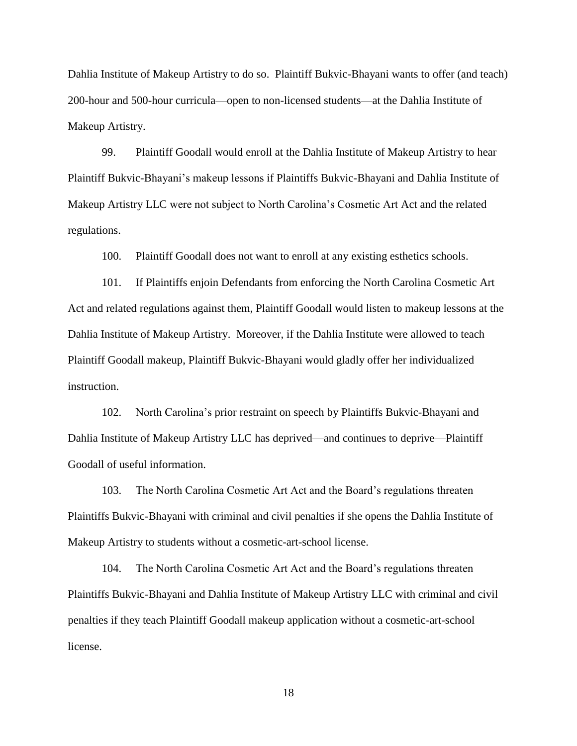Dahlia Institute of Makeup Artistry to do so. Plaintiff Bukvic-Bhayani wants to offer (and teach) 200-hour and 500-hour curricula—open to non-licensed students—at the Dahlia Institute of Makeup Artistry.

99. Plaintiff Goodall would enroll at the Dahlia Institute of Makeup Artistry to hear Plaintiff Bukvic-Bhayani's makeup lessons if Plaintiffs Bukvic-Bhayani and Dahlia Institute of Makeup Artistry LLC were not subject to North Carolina's Cosmetic Art Act and the related regulations.

100. Plaintiff Goodall does not want to enroll at any existing esthetics schools.

101. If Plaintiffs enjoin Defendants from enforcing the North Carolina Cosmetic Art Act and related regulations against them, Plaintiff Goodall would listen to makeup lessons at the Dahlia Institute of Makeup Artistry. Moreover, if the Dahlia Institute were allowed to teach Plaintiff Goodall makeup, Plaintiff Bukvic-Bhayani would gladly offer her individualized instruction.

102. North Carolina's prior restraint on speech by Plaintiffs Bukvic-Bhayani and Dahlia Institute of Makeup Artistry LLC has deprived—and continues to deprive—Plaintiff Goodall of useful information.

103. The North Carolina Cosmetic Art Act and the Board's regulations threaten Plaintiffs Bukvic-Bhayani with criminal and civil penalties if she opens the Dahlia Institute of Makeup Artistry to students without a cosmetic-art-school license.

104. The North Carolina Cosmetic Art Act and the Board's regulations threaten Plaintiffs Bukvic-Bhayani and Dahlia Institute of Makeup Artistry LLC with criminal and civil penalties if they teach Plaintiff Goodall makeup application without a cosmetic-art-school license.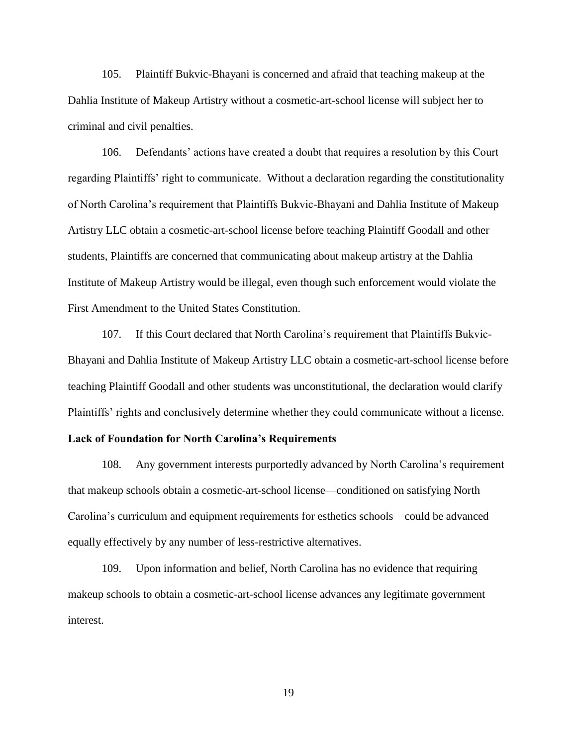105. Plaintiff Bukvic-Bhayani is concerned and afraid that teaching makeup at the Dahlia Institute of Makeup Artistry without a cosmetic-art-school license will subject her to criminal and civil penalties.

106. Defendants' actions have created a doubt that requires a resolution by this Court regarding Plaintiffs' right to communicate. Without a declaration regarding the constitutionality of North Carolina's requirement that Plaintiffs Bukvic-Bhayani and Dahlia Institute of Makeup Artistry LLC obtain a cosmetic-art-school license before teaching Plaintiff Goodall and other students, Plaintiffs are concerned that communicating about makeup artistry at the Dahlia Institute of Makeup Artistry would be illegal, even though such enforcement would violate the First Amendment to the United States Constitution.

107. If this Court declared that North Carolina's requirement that Plaintiffs Bukvic-Bhayani and Dahlia Institute of Makeup Artistry LLC obtain a cosmetic-art-school license before teaching Plaintiff Goodall and other students was unconstitutional, the declaration would clarify Plaintiffs' rights and conclusively determine whether they could communicate without a license.

### **Lack of Foundation for North Carolina's Requirements**

108. Any government interests purportedly advanced by North Carolina's requirement that makeup schools obtain a cosmetic-art-school license—conditioned on satisfying North Carolina's curriculum and equipment requirements for esthetics schools—could be advanced equally effectively by any number of less-restrictive alternatives.

109. Upon information and belief, North Carolina has no evidence that requiring makeup schools to obtain a cosmetic-art-school license advances any legitimate government interest.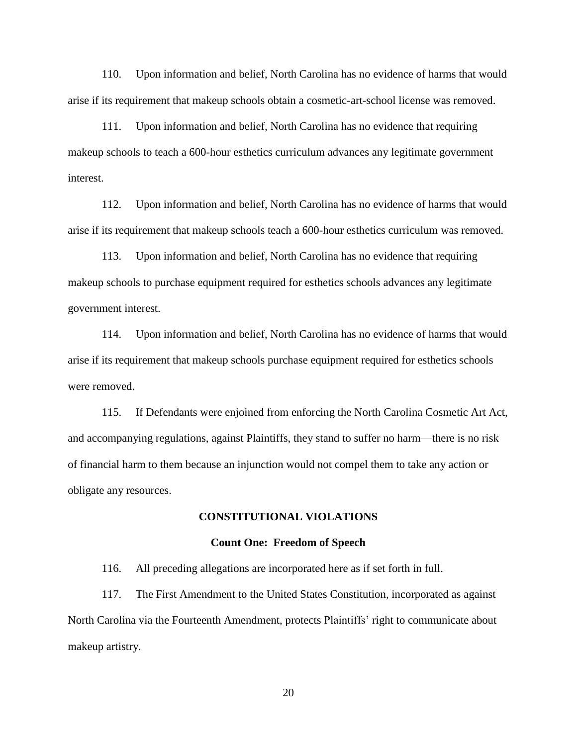110. Upon information and belief, North Carolina has no evidence of harms that would arise if its requirement that makeup schools obtain a cosmetic-art-school license was removed.

111. Upon information and belief, North Carolina has no evidence that requiring makeup schools to teach a 600-hour esthetics curriculum advances any legitimate government interest.

112. Upon information and belief, North Carolina has no evidence of harms that would arise if its requirement that makeup schools teach a 600-hour esthetics curriculum was removed.

113. Upon information and belief, North Carolina has no evidence that requiring makeup schools to purchase equipment required for esthetics schools advances any legitimate government interest.

114. Upon information and belief, North Carolina has no evidence of harms that would arise if its requirement that makeup schools purchase equipment required for esthetics schools were removed.

115. If Defendants were enjoined from enforcing the North Carolina Cosmetic Art Act, and accompanying regulations, against Plaintiffs, they stand to suffer no harm—there is no risk of financial harm to them because an injunction would not compel them to take any action or obligate any resources.

#### **CONSTITUTIONAL VIOLATIONS**

#### **Count One: Freedom of Speech**

116. All preceding allegations are incorporated here as if set forth in full.

117. The First Amendment to the United States Constitution, incorporated as against North Carolina via the Fourteenth Amendment, protects Plaintiffs' right to communicate about makeup artistry.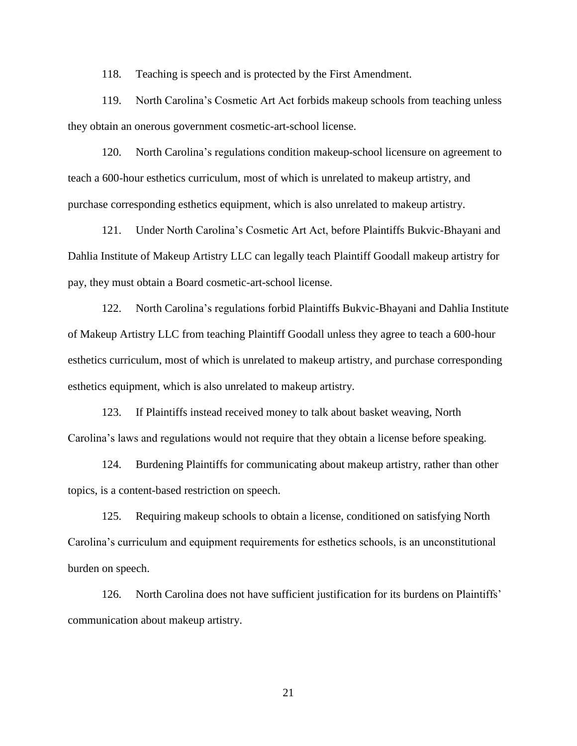118. Teaching is speech and is protected by the First Amendment.

119. North Carolina's Cosmetic Art Act forbids makeup schools from teaching unless they obtain an onerous government cosmetic-art-school license.

120. North Carolina's regulations condition makeup-school licensure on agreement to teach a 600-hour esthetics curriculum, most of which is unrelated to makeup artistry, and purchase corresponding esthetics equipment, which is also unrelated to makeup artistry.

121. Under North Carolina's Cosmetic Art Act, before Plaintiffs Bukvic-Bhayani and Dahlia Institute of Makeup Artistry LLC can legally teach Plaintiff Goodall makeup artistry for pay, they must obtain a Board cosmetic-art-school license.

122. North Carolina's regulations forbid Plaintiffs Bukvic-Bhayani and Dahlia Institute of Makeup Artistry LLC from teaching Plaintiff Goodall unless they agree to teach a 600-hour esthetics curriculum, most of which is unrelated to makeup artistry, and purchase corresponding esthetics equipment, which is also unrelated to makeup artistry.

123. If Plaintiffs instead received money to talk about basket weaving, North Carolina's laws and regulations would not require that they obtain a license before speaking.

124. Burdening Plaintiffs for communicating about makeup artistry, rather than other topics, is a content-based restriction on speech.

125. Requiring makeup schools to obtain a license, conditioned on satisfying North Carolina's curriculum and equipment requirements for esthetics schools, is an unconstitutional burden on speech.

126. North Carolina does not have sufficient justification for its burdens on Plaintiffs' communication about makeup artistry.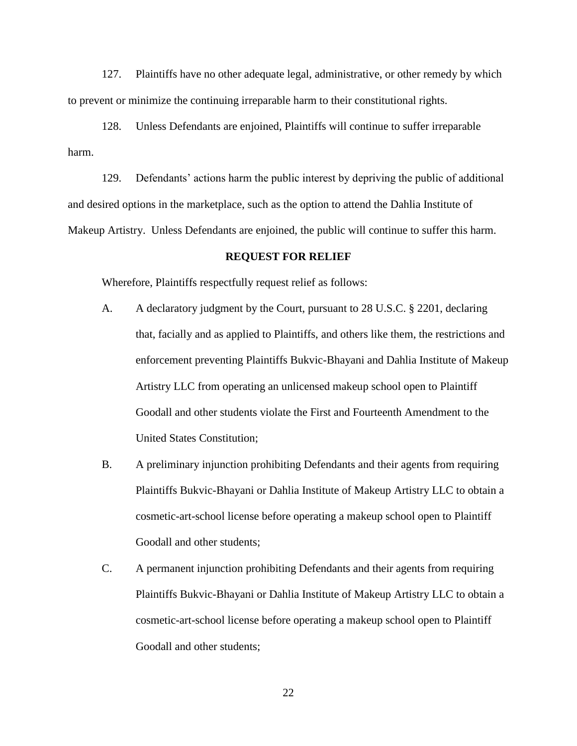127. Plaintiffs have no other adequate legal, administrative, or other remedy by which to prevent or minimize the continuing irreparable harm to their constitutional rights.

128. Unless Defendants are enjoined, Plaintiffs will continue to suffer irreparable harm.

129. Defendants' actions harm the public interest by depriving the public of additional and desired options in the marketplace, such as the option to attend the Dahlia Institute of Makeup Artistry. Unless Defendants are enjoined, the public will continue to suffer this harm.

#### **REQUEST FOR RELIEF**

Wherefore, Plaintiffs respectfully request relief as follows:

- A. A declaratory judgment by the Court, pursuant to 28 U.S.C. § 2201, declaring that, facially and as applied to Plaintiffs, and others like them, the restrictions and enforcement preventing Plaintiffs Bukvic-Bhayani and Dahlia Institute of Makeup Artistry LLC from operating an unlicensed makeup school open to Plaintiff Goodall and other students violate the First and Fourteenth Amendment to the United States Constitution;
- B. A preliminary injunction prohibiting Defendants and their agents from requiring Plaintiffs Bukvic-Bhayani or Dahlia Institute of Makeup Artistry LLC to obtain a cosmetic-art-school license before operating a makeup school open to Plaintiff Goodall and other students;
- C. A permanent injunction prohibiting Defendants and their agents from requiring Plaintiffs Bukvic-Bhayani or Dahlia Institute of Makeup Artistry LLC to obtain a cosmetic-art-school license before operating a makeup school open to Plaintiff Goodall and other students;